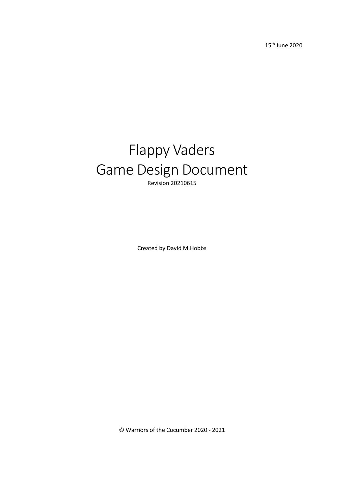15th June 2020

## Flappy Vaders Game Design Document Revision 20210615

Created by David M.Hobbs

© Warriors of the Cucumber 2020 - 2021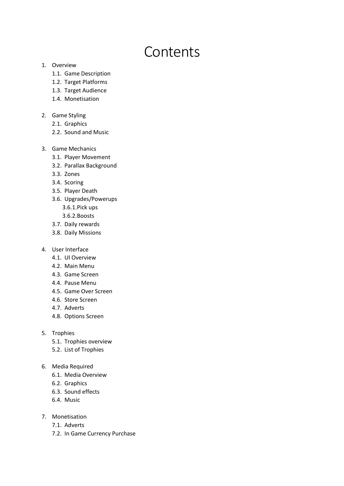# Contents

#### 1. Overview

- 1.1. Game Description
- 1.2. Target Platforms
- 1.3. Target Audience
- 1.4. Monetisation

#### 2. Game Styling

- 2.1. Graphics
- 2.2. Sound and Music
- 3. Game Mechanics
	- 3.1. Player Movement
	- 3.2. Parallax Background
	- 3.3. Zones
	- 3.4. Scoring
	- 3.5. Player Death
	- 3.6. Upgrades/Powerups
		- 3.6.1.Pick ups
		- 3.6.2.Boosts
	- 3.7. Daily rewards
	- 3.8. Daily Missions
- 4. User Interface
	- 4.1. UI Overview
	- 4.2. Main Menu
	- 4.3. Game Screen
	- 4.4. Pause Menu
	- 4.5. Game Over Screen
	- 4.6. Store Screen
	- 4.7. Adverts
	- 4.8. Options Screen
- 5. Trophies
	- 5.1. Trophies overview
	- 5.2. List of Trophies
- 6. Media Required
	- 6.1. Media Overview
	- 6.2. Graphics
	- 6.3. Sound effects
	- 6.4. Music
- 7. Monetisation
	- 7.1. Adverts
	- 7.2. In Game Currency Purchase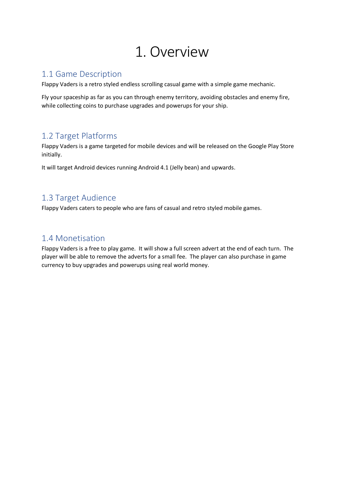## 1. Overview

## 1.1 Game Description

Flappy Vaders is a retro styled endless scrolling casual game with a simple game mechanic.

Fly your spaceship as far as you can through enemy territory, avoiding obstacles and enemy fire, while collecting coins to purchase upgrades and powerups for your ship.

## 1.2 Target Platforms

Flappy Vaders is a game targeted for mobile devices and will be released on the Google Play Store initially.

It will target Android devices running Android 4.1 (Jelly bean) and upwards.

## 1.3 Target Audience

Flappy Vaders caters to people who are fans of casual and retro styled mobile games.

## 1.4 Monetisation

Flappy Vaders is a free to play game. It will show a full screen advert at the end of each turn. The player will be able to remove the adverts for a small fee. The player can also purchase in game currency to buy upgrades and powerups using real world money.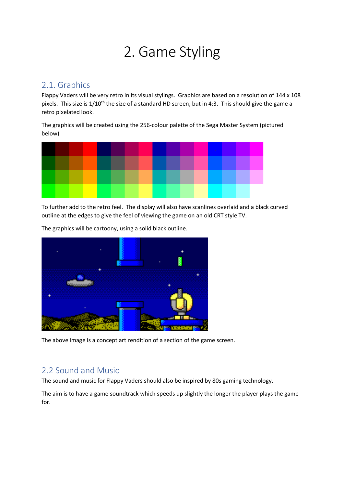# 2. Game Styling

## 2.1. Graphics

Flappy Vaders will be very retro in its visual stylings. Graphics are based on a resolution of 144 x 108 pixels. This size is  $1/10^{th}$  the size of a standard HD screen, but in 4:3. This should give the game a retro pixelated look.

The graphics will be created using the 256-colour palette of the Sega Master System (pictured below)



To further add to the retro feel. The display will also have scanlines overlaid and a black curved outline at the edges to give the feel of viewing the game on an old CRT style TV.



The graphics will be cartoony, using a solid black outline.

The above image is a concept art rendition of a section of the game screen.

## 2.2 Sound and Music

The sound and music for Flappy Vaders should also be inspired by 80s gaming technology.

The aim is to have a game soundtrack which speeds up slightly the longer the player plays the game for.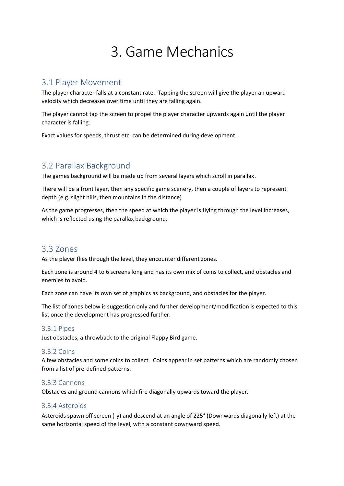# 3. Game Mechanics

### 3.1 Player Movement

The player character falls at a constant rate. Tapping the screen will give the player an upward velocity which decreases over time until they are falling again.

The player cannot tap the screen to propel the player character upwards again until the player character is falling.

Exact values for speeds, thrust etc. can be determined during development.

## 3.2 Parallax Background

The games background will be made up from several layers which scroll in parallax.

There will be a front layer, then any specific game scenery, then a couple of layers to represent depth (e.g. slight hills, then mountains in the distance)

As the game progresses, then the speed at which the player is flying through the level increases, which is reflected using the parallax background.

### 3.3 Zones

As the player flies through the level, they encounter different zones.

Each zone is around 4 to 6 screens long and has its own mix of coins to collect, and obstacles and enemies to avoid.

Each zone can have its own set of graphics as background, and obstacles for the player.

The list of zones below is suggestion only and further development/modification is expected to this list once the development has progressed further.

#### 3.3.1 Pipes

Just obstacles, a throwback to the original Flappy Bird game.

#### 3.3.2 Coins

A few obstacles and some coins to collect. Coins appear in set patterns which are randomly chosen from a list of pre-defined patterns.

#### 3.3.3 Cannons

Obstacles and ground cannons which fire diagonally upwards toward the player.

#### 3.3.4 Asteroids

Asteroids spawn off screen (-y) and descend at an angle of 225° (Downwards diagonally left) at the same horizontal speed of the level, with a constant downward speed.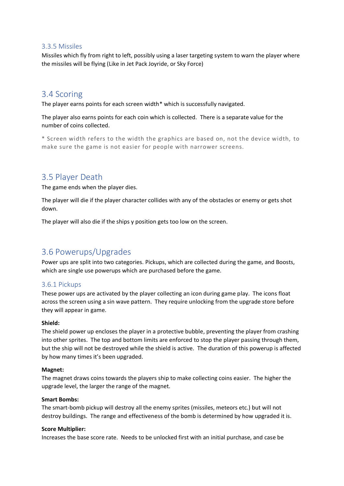#### 3.3.5 Missiles

Missiles which fly from right to left, possibly using a laser targeting system to warn the player where the missiles will be flying (Like in Jet Pack Joyride, or Sky Force)

### 3.4 Scoring

The player earns points for each screen width\* which is successfully navigated.

The player also earns points for each coin which is collected. There is a separate value for the number of coins collected.

\* Screen width refers to the width the graphics are based on, not the device width, to make sure the game is not easier for people with narrower screens.

### 3.5 Player Death

The game ends when the player dies.

The player will die if the player character collides with any of the obstacles or enemy or gets shot down.

The player will also die if the ships y position gets too low on the screen.

## 3.6 Powerups/Upgrades

Power ups are split into two categories. Pickups, which are collected during the game, and Boosts, which are single use powerups which are purchased before the game.

#### 3.6.1 Pickups

These power ups are activated by the player collecting an icon during game play. The icons float across the screen using a sin wave pattern. They require unlocking from the upgrade store before they will appear in game.

#### **Shield:**

The shield power up encloses the player in a protective bubble, preventing the player from crashing into other sprites. The top and bottom limits are enforced to stop the player passing through them, but the ship will not be destroyed while the shield is active. The duration of this powerup is affected by how many times it's been upgraded.

#### **Magnet:**

The magnet draws coins towards the players ship to make collecting coins easier. The higher the upgrade level, the larger the range of the magnet.

#### **Smart Bombs:**

The smart-bomb pickup will destroy all the enemy sprites (missiles, meteors etc.) but will not destroy buildings. The range and effectiveness of the bomb is determined by how upgraded it is.

#### **Score Multiplier:**

Increases the base score rate. Needs to be unlocked first with an initial purchase, and case be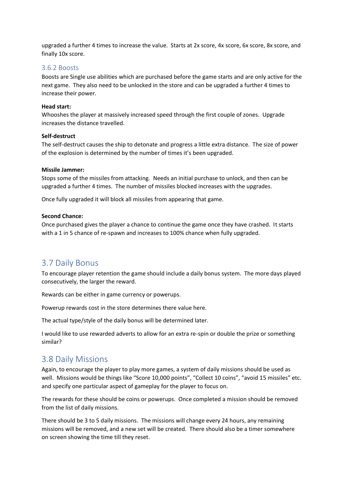upgraded a further 4 times to increase the value. Starts at 2x score, 4x score, 6x score, 8x score, and finally 10x score.

#### 3.6.2 Boosts

Boosts are Single use abilities which are purchased before the game starts and are only active for the next game. They also need to be unlocked in the store and can be upgraded a further 4 times to increase their power.

#### **Head start:**

Whooshes the player at massively increased speed through the first couple of zones. Upgrade increases the distance travelled.

#### **Self-destruct**

The self-destruct causes the ship to detonate and progress a little extra distance. The size of power of the explosion is determined by the number of times it's been upgraded.

#### **Missile Jammer:**

Stops some of the missiles from attacking. Needs an initial purchase to unlock, and then can be upgraded a further 4 times. The number of missiles blocked increases with the upgrades.

Once fully upgraded it will block all missiles from appearing that game.

#### **Second Chance:**

Once purchased gives the player a chance to continue the game once they have crashed. It starts with a 1 in 5 chance of re-spawn and increases to 100% chance when fully upgraded.

### 3.7 Daily Bonus

To encourage player retention the game should include a daily bonus system. The more days played consecutively, the larger the reward.

Rewards can be either in game currency or powerups.

Powerup rewards cost in the store determines there value here.

The actual type/style of the daily bonus will be determined later.

I would like to use rewarded adverts to allow for an extra re-spin or double the prize or something similar?

### 3.8 Daily Missions

Again, to encourage the player to play more games, a system of daily missions should be used as well. Missions would be things like "Score 10,000 points", "Collect 10 coins", "avoid 15 missiles" etc. and specify one particular aspect of gameplay for the player to focus on.

The rewards for these should be coins or powerups. Once completed a mission should be removed from the list of daily missions.

There should be 3 to 5 daily missions. The missions will change every 24 hours, any remaining missions will be removed, and a new set will be created. There should also be a timer somewhere on screen showing the time till they reset.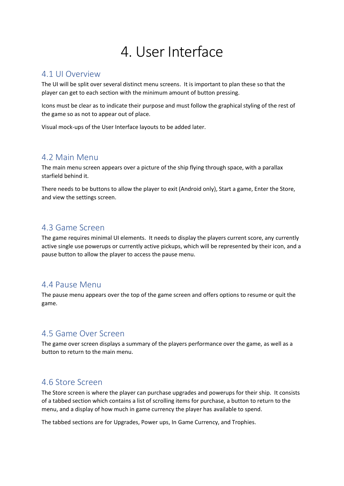# 4. User Interface

### 4.1 UI Overview

The UI will be split over several distinct menu screens. It is important to plan these so that the player can get to each section with the minimum amount of button pressing.

Icons must be clear as to indicate their purpose and must follow the graphical styling of the rest of the game so as not to appear out of place.

Visual mock-ups of the User Interface layouts to be added later.

## 4.2 Main Menu

The main menu screen appears over a picture of the ship flying through space, with a parallax starfield behind it.

There needs to be buttons to allow the player to exit (Android only), Start a game, Enter the Store, and view the settings screen.

## 4.3 Game Screen

The game requires minimal UI elements. It needs to display the players current score, any currently active single use powerups or currently active pickups, which will be represented by their icon, and a pause button to allow the player to access the pause menu.

## 4.4 Pause Menu

The pause menu appears over the top of the game screen and offers options to resume or quit the game.

## 4.5 Game Over Screen

The game over screen displays a summary of the players performance over the game, as well as a button to return to the main menu.

## 4.6 Store Screen

The Store screen is where the player can purchase upgrades and powerups for their ship. It consists of a tabbed section which contains a list of scrolling items for purchase, a button to return to the menu, and a display of how much in game currency the player has available to spend.

The tabbed sections are for Upgrades, Power ups, In Game Currency, and Trophies.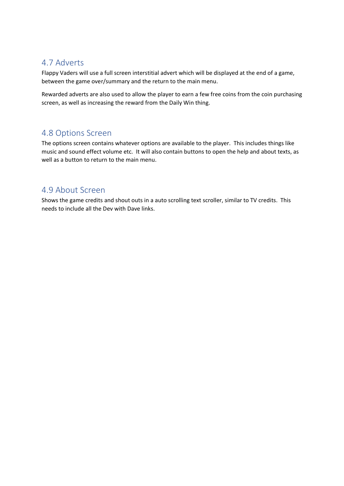## 4.7 Adverts

Flappy Vaders will use a full screen interstitial advert which will be displayed at the end of a game, between the game over/summary and the return to the main menu.

Rewarded adverts are also used to allow the player to earn a few free coins from the coin purchasing screen, as well as increasing the reward from the Daily Win thing.

## 4.8 Options Screen

The options screen contains whatever options are available to the player. This includes things like music and sound effect volume etc. It will also contain buttons to open the help and about texts, as well as a button to return to the main menu.

## 4.9 About Screen

Shows the game credits and shout outs in a auto scrolling text scroller, similar to TV credits. This needs to include all the Dev with Dave links.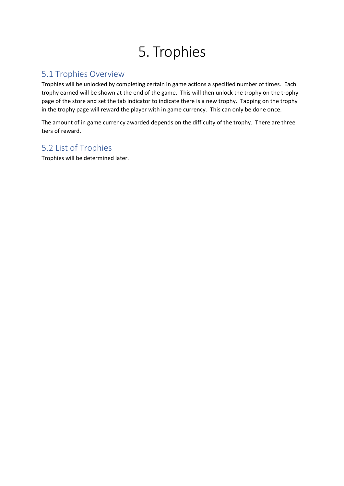# 5. Trophies

## 5.1 Trophies Overview

Trophies will be unlocked by completing certain in game actions a specified number of times. Each trophy earned will be shown at the end of the game. This will then unlock the trophy on the trophy page of the store and set the tab indicator to indicate there is a new trophy. Tapping on the trophy in the trophy page will reward the player with in game currency. This can only be done once.

The amount of in game currency awarded depends on the difficulty of the trophy. There are three tiers of reward.

## 5.2 List of Trophies

Trophies will be determined later.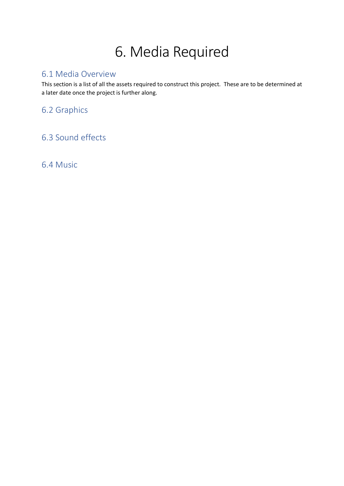# 6. Media Required

## 6.1 Media Overview

This section is a list of all the assets required to construct this project. These are to be determined at a later date once the project is further along.

6.2 Graphics

## 6.3 Sound effects

6.4 Music